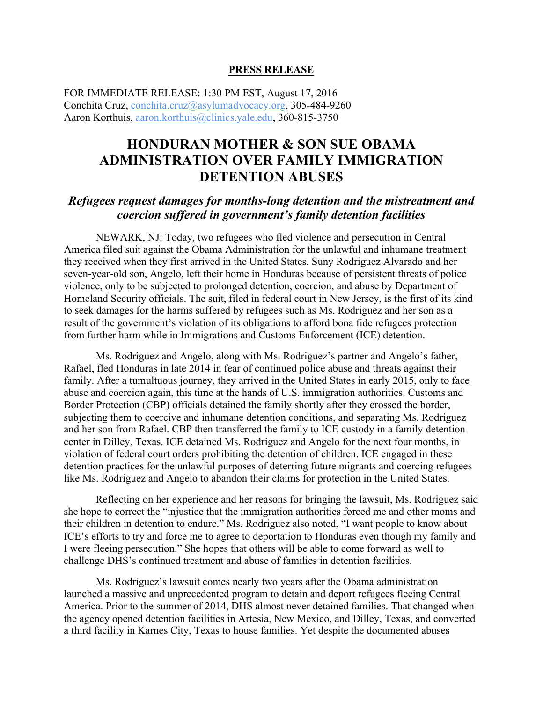## **PRESS RELEASE**

FOR IMMEDIATE RELEASE: 1:30 PM EST, August 17, 2016 Conchita Cruz, conchita.cruz@asylumadvocacy.org, 305-484-9260 Aaron Korthuis, aaron.korthuis@clinics.yale.edu, 360-815-3750

## **HONDURAN MOTHER & SON SUE OBAMA ADMINISTRATION OVER FAMILY IMMIGRATION DETENTION ABUSES**

## *Refugees request damages for months-long detention and the mistreatment and coercion suffered in government's family detention facilities*

NEWARK, NJ: Today, two refugees who fled violence and persecution in Central America filed suit against the Obama Administration for the unlawful and inhumane treatment they received when they first arrived in the United States. Suny Rodriguez Alvarado and her seven-year-old son, Angelo, left their home in Honduras because of persistent threats of police violence, only to be subjected to prolonged detention, coercion, and abuse by Department of Homeland Security officials. The suit, filed in federal court in New Jersey, is the first of its kind to seek damages for the harms suffered by refugees such as Ms. Rodriguez and her son as a result of the government's violation of its obligations to afford bona fide refugees protection from further harm while in Immigrations and Customs Enforcement (ICE) detention.

Ms. Rodriguez and Angelo, along with Ms. Rodriguez's partner and Angelo's father, Rafael, fled Honduras in late 2014 in fear of continued police abuse and threats against their family. After a tumultuous journey, they arrived in the United States in early 2015, only to face abuse and coercion again, this time at the hands of U.S. immigration authorities. Customs and Border Protection (CBP) officials detained the family shortly after they crossed the border, subjecting them to coercive and inhumane detention conditions, and separating Ms. Rodriguez and her son from Rafael. CBP then transferred the family to ICE custody in a family detention center in Dilley, Texas. ICE detained Ms. Rodriguez and Angelo for the next four months, in violation of federal court orders prohibiting the detention of children. ICE engaged in these detention practices for the unlawful purposes of deterring future migrants and coercing refugees like Ms. Rodriguez and Angelo to abandon their claims for protection in the United States.

Reflecting on her experience and her reasons for bringing the lawsuit, Ms. Rodriguez said she hope to correct the "injustice that the immigration authorities forced me and other moms and their children in detention to endure." Ms. Rodriguez also noted, "I want people to know about ICE's efforts to try and force me to agree to deportation to Honduras even though my family and I were fleeing persecution." She hopes that others will be able to come forward as well to challenge DHS's continued treatment and abuse of families in detention facilities.

Ms. Rodriguez's lawsuit comes nearly two years after the Obama administration launched a massive and unprecedented program to detain and deport refugees fleeing Central America. Prior to the summer of 2014, DHS almost never detained families. That changed when the agency opened detention facilities in Artesia, New Mexico, and Dilley, Texas, and converted a third facility in Karnes City, Texas to house families. Yet despite the documented abuses